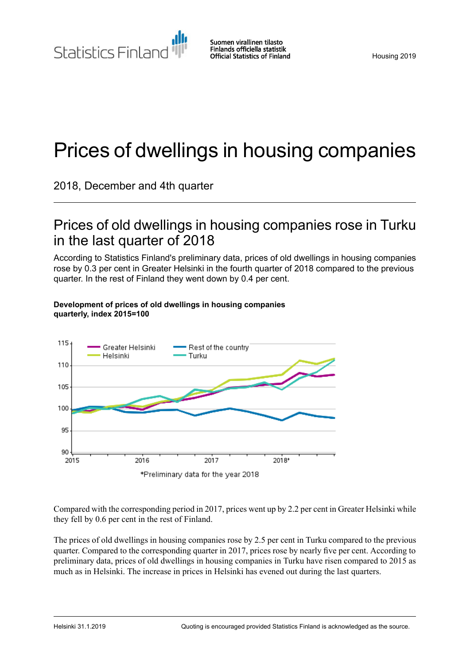Suomen virallinen tilasto Statistics Finland Finlands officiella statistik **Official Statistics of Finland** 

# Prices of dwellings in housing companies

2018, December and 4th quarter

## Prices of old dwellings in housing companies rose in Turku in the last quarter of 2018

According to Statistics Finland's preliminary data, prices of old dwellings in housing companies rose by 0.3 per cent in Greater Helsinki in the fourth quarter of 2018 compared to the previous quarter. In the rest of Finland they went down by 0.4 per cent.

#### **Development of prices of old dwellings in housing companies quarterly, index 2015=100**



Compared with the corresponding period in 2017, prices went up by 2.2 per cent in Greater Helsinki while they fell by 0.6 per cent in the rest of Finland.

The prices of old dwellings in housing companies rose by 2.5 per cent in Turku compared to the previous quarter. Compared to the corresponding quarter in 2017, prices rose by nearly five per cent. According to preliminary data, prices of old dwellings in housing companies in Turku have risen compared to 2015 as much as in Helsinki. The increase in prices in Helsinki has evened out during the last quarters.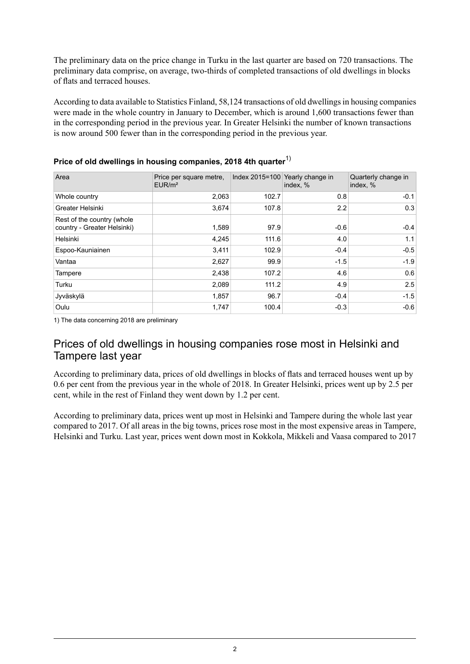The preliminary data on the price change in Turku in the last quarter are based on 720 transactions. The preliminary data comprise, on average, two-thirds of completed transactions of old dwellings in blocks of flats and terraced houses.

According to data available to Statistics Finland, 58,124 transactions of old dwellingsin housing companies were made in the whole country in January to December, which is around 1,600 transactions fewer than in the corresponding period in the previous year. In Greater Helsinki the number of known transactions is now around 500 fewer than in the corresponding period in the previous year.

| Area                                                      | Price per square metre,<br>EUR/m <sup>2</sup> |       | Index 2015=100 Yearly change in<br>index, % | Quarterly change in<br>index, % |
|-----------------------------------------------------------|-----------------------------------------------|-------|---------------------------------------------|---------------------------------|
| Whole country                                             | 2,063                                         | 102.7 | 0.8                                         | $-0.1$                          |
| Greater Helsinki                                          | 3,674                                         | 107.8 | 2.2                                         | 0.3                             |
| Rest of the country (whole<br>country - Greater Helsinki) | 1,589                                         | 97.9  | $-0.6$                                      | $-0.4$                          |
| Helsinki                                                  | 4,245                                         | 111.6 | 4.0                                         | 1.1                             |
| Espoo-Kauniainen                                          | 3,411                                         | 102.9 | $-0.4$                                      | $-0.5$                          |
| Vantaa                                                    | 2,627                                         | 99.9  | $-1.5$                                      | $-1.9$                          |
| Tampere                                                   | 2,438                                         | 107.2 | 4.6                                         | 0.6                             |
| Turku                                                     | 2,089                                         | 111.2 | 4.9                                         | 2.5                             |
| Jyväskylä                                                 | 1,857                                         | 96.7  | $-0.4$                                      | $-1.5$                          |
| Oulu                                                      | 1,747                                         | 100.4 | $-0.3$                                      | $-0.6$                          |

|  |  | Price of old dwellings in housing companies, 2018 4th quarter $^{1)}$ |  |
|--|--|-----------------------------------------------------------------------|--|
|  |  |                                                                       |  |

1) The data concerning 2018 are preliminary

## Prices of old dwellings in housing companies rose most in Helsinki and Tampere last year

According to preliminary data, prices of old dwellings in blocks of flats and terraced houses went up by 0.6 per cent from the previous year in the whole of 2018. In Greater Helsinki, prices went up by 2.5 per cent, while in the rest of Finland they went down by 1.2 per cent.

According to preliminary data, prices went up most in Helsinki and Tampere during the whole last year compared to 2017. Of all areas in the big towns, prices rose most in the most expensive areas in Tampere, Helsinki and Turku. Last year, prices went down most in Kokkola, Mikkeli and Vaasa compared to 2017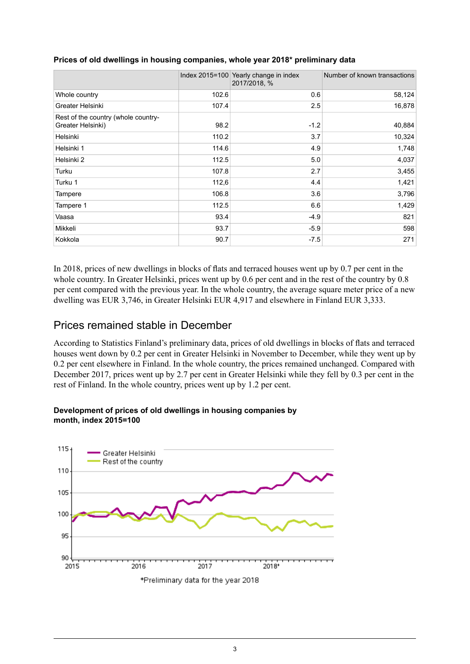|                                                          |       | Index 2015=100 Yearly change in index<br>2017/2018, % | Number of known transactions |
|----------------------------------------------------------|-------|-------------------------------------------------------|------------------------------|
| Whole country                                            | 102.6 | 0.6                                                   | 58,124                       |
| Greater Helsinki                                         | 107.4 | 2.5                                                   | 16,878                       |
| Rest of the country (whole country-<br>Greater Helsinki) | 98.2  | $-1.2$                                                | 40,884                       |
| Helsinki                                                 | 110.2 | 3.7                                                   | 10,324                       |
| Helsinki 1                                               | 114.6 | 4.9                                                   | 1,748                        |
| Helsinki 2                                               | 112.5 | 5.0                                                   | 4,037                        |
| Turku                                                    | 107.8 | 2.7                                                   | 3,455                        |
| Turku 1                                                  | 112,6 | 4.4                                                   | 1,421                        |
| Tampere                                                  | 106.8 | 3.6                                                   | 3,796                        |
| Tampere 1                                                | 112.5 | 6.6                                                   | 1,429                        |
| Vaasa                                                    | 93.4  | $-4.9$                                                | 821                          |
| Mikkeli                                                  | 93.7  | $-5.9$                                                | 598                          |
| Kokkola                                                  | 90.7  | $-7.5$                                                | 271                          |

#### **Prices of old dwellings in housing companies, whole year 2018\* preliminary data**

In 2018, prices of new dwellings in blocks of flats and terraced houses went up by 0.7 per cent in the whole country. In Greater Helsinki, prices went up by 0.6 per cent and in the rest of the country by 0.8 per cent compared with the previous year. In the whole country, the average square meter price of a new dwelling was EUR 3,746, in Greater Helsinki EUR 4,917 and elsewhere in Finland EUR 3,333.

## Prices remained stable in December

According to Statistics Finland's preliminary data, prices of old dwellings in blocks of flats and terraced houses went down by 0.2 per cent in Greater Helsinki in November to December, while they went up by 0.2 per cent elsewhere in Finland. In the whole country, the prices remained unchanged. Compared with December 2017, prices went up by 2.7 per cent in Greater Helsinki while they fell by 0.3 per cent in the rest of Finland. In the whole country, prices went up by 1.2 per cent.

#### **Development of prices of old dwellings in housing companies by month, index 2015=100**

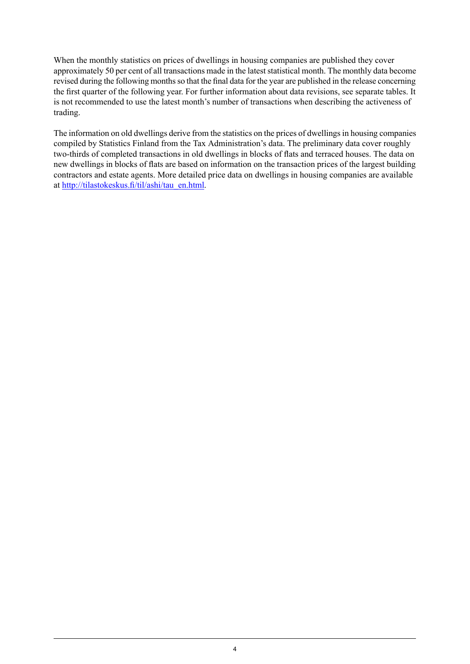When the monthly statistics on prices of dwellings in housing companies are published they cover approximately 50 per cent of all transactions made in the latest statistical month. The monthly data become revised during the following months so that the final data for the year are published in the release concerning the first quarter of the following year. For further information about data revisions, see separate tables. It is not recommended to use the latest month's number of transactions when describing the activeness of trading.

The information on old dwellings derive from the statistics on the prices of dwellings in housing companies compiled by Statistics Finland from the Tax Administration's data. The preliminary data cover roughly two-thirds of completed transactions in old dwellings in blocks of flats and terraced houses. The data on new dwellings in blocks of flats are based on information on the transaction prices of the largest building contractors and estate agents. More detailed price data on dwellings in housing companies are available at [http://tilastokeskus.fi/til/ashi/tau\\_en.html.](http://www.tilastokeskus.fi/til/ashi/tau_en.html)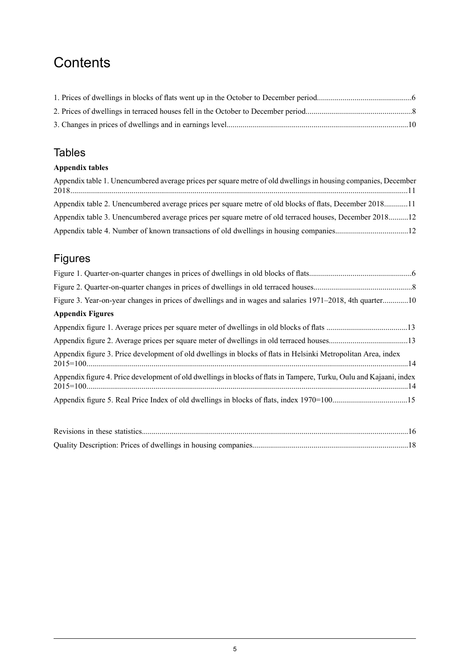## **Contents**

## **Tables**

## **Appendix tables**

| Appendix table 1. Unencumbered average prices per square metre of old dwellings in housing companies, December |  |
|----------------------------------------------------------------------------------------------------------------|--|
| Appendix table 2. Unencumbered average prices per square metre of old blocks of flats, December 201811         |  |
| Appendix table 3. Unencumbered average prices per square metre of old terraced houses, December 201812         |  |
|                                                                                                                |  |

## Figures

| Figure 3. Year-on-year changes in prices of dwellings and in wages and salaries 1971–2018, 4th quarter10            |  |
|---------------------------------------------------------------------------------------------------------------------|--|
| <b>Appendix Figures</b>                                                                                             |  |
|                                                                                                                     |  |
|                                                                                                                     |  |
| Appendix figure 3. Price development of old dwellings in blocks of flats in Helsinki Metropolitan Area, index       |  |
| Appendix figure 4. Price development of old dwellings in blocks of flats in Tampere, Turku, Oulu and Kajaani, index |  |
|                                                                                                                     |  |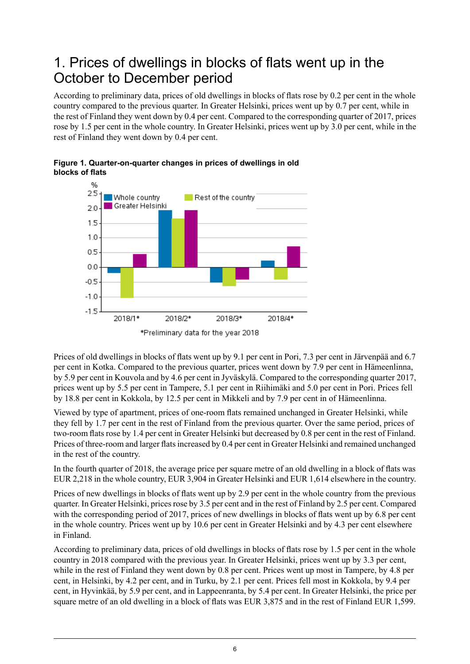## <span id="page-5-0"></span>1. Prices of dwellings in blocks of flats went up in the October to December period

According to preliminary data, prices of old dwellings in blocks of flats rose by 0.2 per cent in the whole country compared to the previous quarter. In Greater Helsinki, prices went up by 0.7 per cent, while in the rest of Finland they went down by 0.4 per cent. Compared to the corresponding quarter of 2017, prices rose by 1.5 per cent in the whole country. In Greater Helsinki, prices went up by 3.0 per cent, while in the rest of Finland they went down by 0.4 per cent.



<span id="page-5-1"></span>

Prices of old dwellings in blocks of flats went up by 9.1 per cent in Pori, 7.3 per cent in Järvenpää and 6.7 per cent in Kotka. Compared to the previous quarter, prices went down by 7.9 per cent in Hämeenlinna, by 5.9 per cent in Kouvola and by 4.6 per cent in Jyväskylä. Compared to the corresponding quarter 2017, prices went up by 5.5 per cent in Tampere, 5.1 per cent in Riihimäki and 5.0 per cent in Pori. Prices fell by 18.8 per cent in Kokkola, by 12.5 per cent in Mikkeli and by 7.9 per cent in of Hämeenlinna.

Viewed by type of apartment, prices of one-room flats remained unchanged in Greater Helsinki, while they fell by 1.7 per cent in the rest of Finland from the previous quarter. Over the same period, prices of two-room flats rose by 1.4 per cent in Greater Helsinki but decreased by 0.8 per cent in the rest of Finland. Prices of three-room and larger flats increased by 0.4 per cent in Greater Helsinki and remained unchanged in the rest of the country.

In the fourth quarter of 2018, the average price per square metre of an old dwelling in a block of flats was EUR 2,218 in the whole country, EUR 3,904 in Greater Helsinki and EUR 1,614 elsewhere in the country.

Prices of new dwellings in blocks of flats went up by 2.9 per cent in the whole country from the previous quarter. In Greater Helsinki, prices rose by 3.5 per cent and in the rest of Finland by 2.5 per cent. Compared with the corresponding period of 2017, prices of new dwellings in blocks of flats went up by 6.8 per cent in the whole country. Prices went up by 10.6 per cent in Greater Helsinki and by 4.3 per cent elsewhere in Finland.

According to preliminary data, prices of old dwellings in blocks of flats rose by 1.5 per cent in the whole country in 2018 compared with the previous year. In Greater Helsinki, prices went up by 3.3 per cent, while in the rest of Finland they went down by 0.8 per cent. Prices went up most in Tampere, by 4.8 per cent, in Helsinki, by 4.2 per cent, and in Turku, by 2.1 per cent. Prices fell most in Kokkola, by 9.4 per cent, in Hyvinkää, by 5.9 per cent, and in Lappeenranta, by 5.4 per cent. In Greater Helsinki, the price per square metre of an old dwelling in a block of flats was EUR 3,875 and in the rest of Finland EUR 1,599.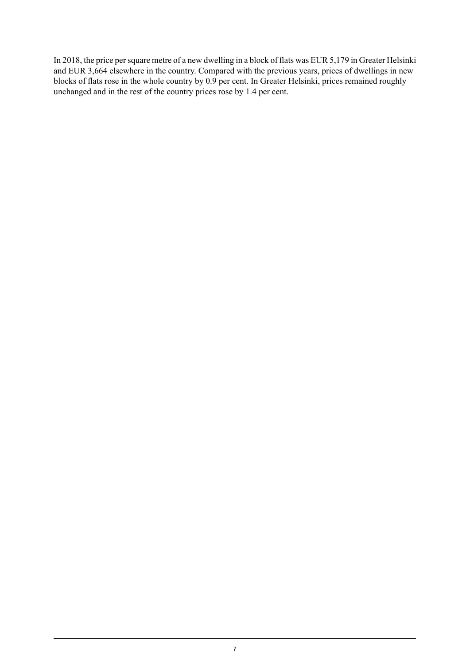In 2018, the price persquare metre of a new dwelling in a block of flats was EUR 5,179 in Greater Helsinki and EUR 3,664 elsewhere in the country. Compared with the previous years, prices of dwellings in new blocks of flats rose in the whole country by 0.9 per cent. In Greater Helsinki, prices remained roughly unchanged and in the rest of the country prices rose by 1.4 per cent.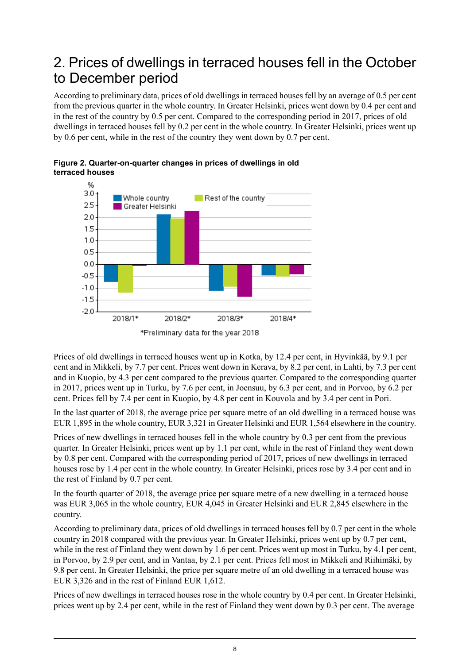## <span id="page-7-0"></span>2. Prices of dwellings in terraced houses fell in the October to December period

According to preliminary data, prices of old dwellings in terraced houses fell by an average of 0.5 per cent from the previous quarter in the whole country. In Greater Helsinki, prices went down by 0.4 per cent and in the rest of the country by 0.5 per cent. Compared to the corresponding period in 2017, prices of old dwellings in terraced houses fell by 0.2 per cent in the whole country. In Greater Helsinki, prices went up by 0.6 per cent, while in the rest of the country they went down by 0.7 per cent.



<span id="page-7-1"></span>**Figure 2. Quarter-on-quarter changes in prices of dwellings in old terraced houses**

Prices of old dwellings in terraced houses went up in Kotka, by 12.4 per cent, in Hyvinkää, by 9.1 per cent and in Mikkeli, by 7.7 per cent. Prices went down in Kerava, by 8.2 per cent, in Lahti, by 7.3 per cent and in Kuopio, by 4.3 per cent compared to the previous quarter. Compared to the corresponding quarter in 2017, prices went up in Turku, by 7.6 per cent, in Joensuu, by 6.3 per cent, and in Porvoo, by 6.2 per cent. Prices fell by 7.4 per cent in Kuopio, by 4.8 per cent in Kouvola and by 3.4 per cent in Pori.

In the last quarter of 2018, the average price per square metre of an old dwelling in a terraced house was EUR 1,895 in the whole country, EUR 3,321 in Greater Helsinki and EUR 1,564 elsewhere in the country.

Prices of new dwellings in terraced houses fell in the whole country by 0.3 per cent from the previous quarter. In Greater Helsinki, prices went up by 1.1 per cent, while in the rest of Finland they went down by 0.8 per cent. Compared with the corresponding period of 2017, prices of new dwellings in terraced houses rose by 1.4 per cent in the whole country. In Greater Helsinki, prices rose by 3.4 per cent and in the rest of Finland by 0.7 per cent.

In the fourth quarter of 2018, the average price per square metre of a new dwelling in a terraced house was EUR 3,065 in the whole country, EUR 4,045 in Greater Helsinki and EUR 2,845 elsewhere in the country.

According to preliminary data, prices of old dwellings in terraced houses fell by 0.7 per cent in the whole country in 2018 compared with the previous year. In Greater Helsinki, prices went up by 0.7 per cent, while in the rest of Finland they went down by 1.6 per cent. Prices went up most in Turku, by 4.1 per cent, in Porvoo, by 2.9 per cent, and in Vantaa, by 2.1 per cent. Prices fell most in Mikkeli and Riihimäki, by 9.8 per cent. In Greater Helsinki, the price per square metre of an old dwelling in a terraced house was EUR 3,326 and in the rest of Finland EUR 1,612.

Prices of new dwellings in terraced houses rose in the whole country by 0.4 per cent. In Greater Helsinki, prices went up by 2.4 per cent, while in the rest of Finland they went down by 0.3 per cent. The average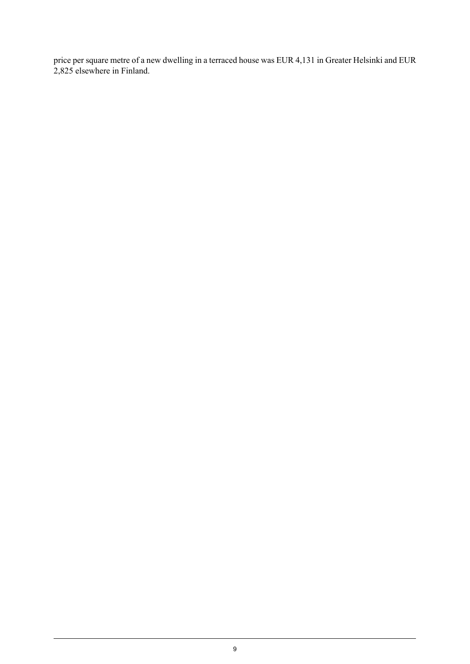price per square metre of a new dwelling in a terraced house was EUR 4,131 in Greater Helsinki and EUR 2,825 elsewhere in Finland.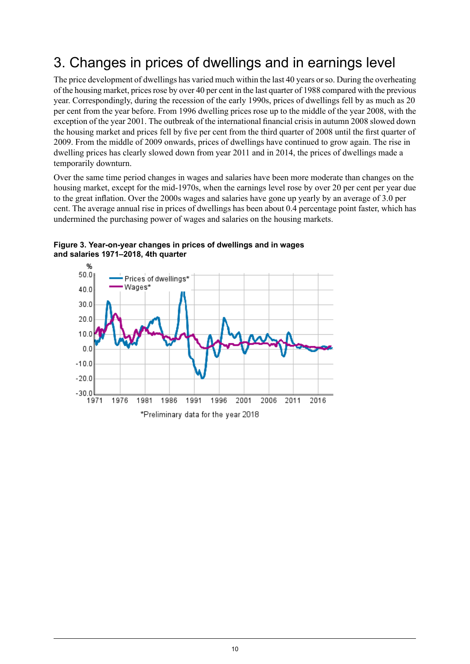## <span id="page-9-0"></span>3. Changes in prices of dwellings and in earnings level

The price development of dwellings has varied much within the last 40 years orso. During the overheating of the housing market, prices rose by over 40 per cent in the last quarter of 1988 compared with the previous year. Correspondingly, during the recession of the early 1990s, prices of dwellings fell by as much as 20 per cent from the year before. From 1996 dwelling prices rose up to the middle of the year 2008, with the exception of the year 2001. The outbreak of the international financial crisis in autumn 2008 slowed down the housing market and prices fell by five per cent from the third quarter of 2008 until the first quarter of 2009. From the middle of 2009 onwards, prices of dwellings have continued to grow again. The rise in dwelling prices has clearly slowed down from year 2011 and in 2014, the prices of dwellings made a temporarily downturn.

Over the same time period changes in wages and salaries have been more moderate than changes on the housing market, except for the mid-1970s, when the earnings level rose by over 20 per cent per year due to the great inflation. Over the 2000s wages and salaries have gone up yearly by an average of 3.0 per cent. The average annual rise in prices of dwellings has been about 0.4 percentage point faster, which has undermined the purchasing power of wages and salaries on the housing markets.



<span id="page-9-1"></span>**Figure 3. Year-on-year changes in prices of dwellings and in wages and salaries 1971–2018, 4th quarter**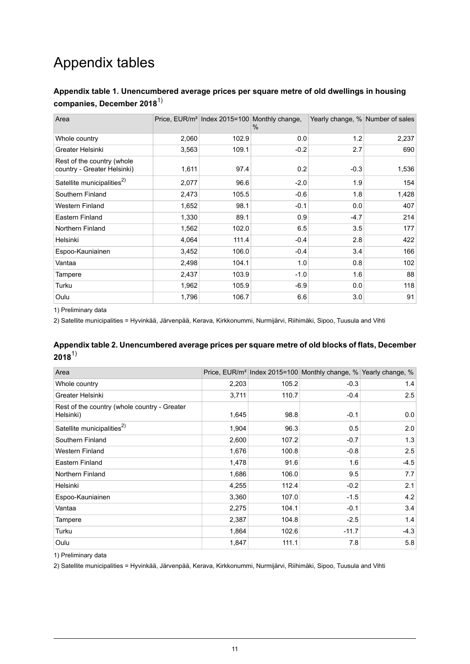## Appendix tables

### <span id="page-10-0"></span>**Appendix table 1. Unencumbered average prices per square metre of old dwellings in housing companies, December 2018**1)

| Area                                                      |       |       | Price, EUR/m <sup>2</sup> Index 2015=100 Monthly change,<br>$\%$ | Yearly change, % Number of sales |       |
|-----------------------------------------------------------|-------|-------|------------------------------------------------------------------|----------------------------------|-------|
| Whole country                                             | 2,060 | 102.9 | 0.0                                                              | 1.2                              | 2,237 |
| Greater Helsinki                                          | 3,563 | 109.1 | $-0.2$                                                           | 2.7                              | 690   |
| Rest of the country (whole<br>country - Greater Helsinki) | 1,611 | 97.4  | 0.2                                                              | $-0.3$                           | 1,536 |
| Satellite municipalities <sup>2)</sup>                    | 2,077 | 96.6  | $-2.0$                                                           | 1.9                              | 154   |
| Southern Finland                                          | 2,473 | 105.5 | $-0.6$                                                           | 1.8                              | 1,428 |
| <b>Western Finland</b>                                    | 1,652 | 98.1  | $-0.1$                                                           | 0.0                              | 407   |
| Eastern Finland                                           | 1,330 | 89.1  | 0.9                                                              | $-4.7$                           | 214   |
| Northern Finland                                          | 1,562 | 102.0 | 6.5                                                              | 3.5                              | 177   |
| Helsinki                                                  | 4,064 | 111.4 | $-0.4$                                                           | 2.8                              | 422   |
| Espoo-Kauniainen                                          | 3,452 | 106.0 | $-0.4$                                                           | 3.4                              | 166   |
| Vantaa                                                    | 2,498 | 104.1 | 1.0                                                              | 0.8                              | 102   |
| Tampere                                                   | 2,437 | 103.9 | $-1.0$                                                           | 1.6                              | 88    |
| Turku                                                     | 1,962 | 105.9 | $-6.9$                                                           | 0.0                              | 118   |
| Oulu                                                      | 1,796 | 106.7 | 6.6                                                              | 3.0                              | 91    |

<span id="page-10-1"></span>1) Preliminary data

2) Satellite municipalities = Hyvinkää, Järvenpää, Kerava, Kirkkonummi, Nurmijärvi, Riihimäki, Sipoo, Tuusula and Vihti

#### **Appendix table 2. Unencumbered average prices per square metre of old blocks of flats, December 2018**1)

| Area                                                      |       |       | Price, EUR/m <sup>2</sup> Index 2015=100 Monthly change, % Yearly change, % |        |
|-----------------------------------------------------------|-------|-------|-----------------------------------------------------------------------------|--------|
| Whole country                                             | 2,203 | 105.2 | $-0.3$                                                                      | 1.4    |
| Greater Helsinki                                          | 3,711 | 110.7 | $-0.4$                                                                      | 2.5    |
| Rest of the country (whole country - Greater<br>Helsinki) | 1,645 | 98.8  | $-0.1$                                                                      | 0.0    |
| Satellite municipalities <sup>2)</sup>                    | 1,904 | 96.3  | 0.5                                                                         | 2.0    |
| Southern Finland                                          | 2,600 | 107.2 | $-0.7$                                                                      | 1.3    |
| <b>Western Finland</b>                                    | 1,676 | 100.8 | $-0.8$                                                                      | 2.5    |
| Eastern Finland                                           | 1,478 | 91.6  | 1.6                                                                         | $-4.5$ |
| Northern Finland                                          | 1,686 | 106.0 | 9.5                                                                         | 7.7    |
| Helsinki                                                  | 4,255 | 112.4 | $-0.2$                                                                      | 2.1    |
| Espoo-Kauniainen                                          | 3,360 | 107.0 | $-1.5$                                                                      | 4.2    |
| Vantaa                                                    | 2,275 | 104.1 | $-0.1$                                                                      | 3.4    |
| Tampere                                                   | 2,387 | 104.8 | $-2.5$                                                                      | 1.4    |
| Turku                                                     | 1,864 | 102.6 | $-11.7$                                                                     | $-4.3$ |
| Oulu                                                      | 1,847 | 111.1 | 7.8                                                                         | 5.8    |

1) Preliminary data

2) Satellite municipalities = Hyvinkää, Järvenpää, Kerava, Kirkkonummi, Nurmijärvi, Riihimäki, Sipoo, Tuusula and Vihti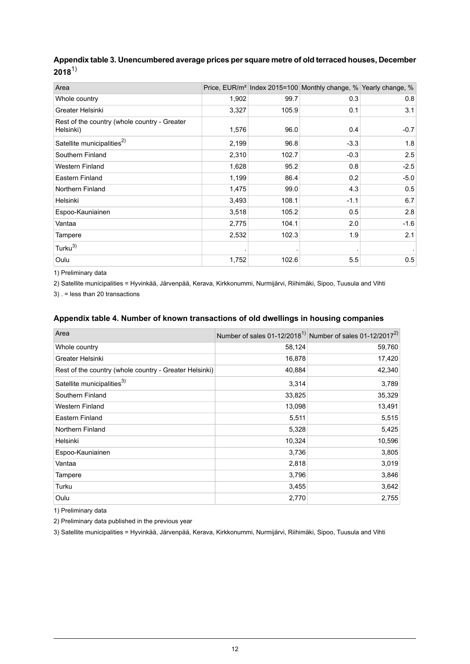### <span id="page-11-0"></span>**Appendixtable3. Unencumbered average prices persquare metre of old terraced houses, December 2018**1)

| Area                                                      |       |       | Price, EUR/m <sup>2</sup> Index 2015=100 Monthly change, % Yearly change, % |        |
|-----------------------------------------------------------|-------|-------|-----------------------------------------------------------------------------|--------|
| Whole country                                             | 1,902 | 99.7  | 0.3                                                                         | 0.8    |
| Greater Helsinki                                          | 3,327 | 105.9 | 0.1                                                                         | 3.1    |
| Rest of the country (whole country - Greater<br>Helsinki) | 1,576 | 96.0  | 0.4                                                                         | $-0.7$ |
| Satellite municipalities <sup>2)</sup>                    | 2,199 | 96.8  | $-3.3$                                                                      | 1.8    |
| Southern Finland                                          | 2,310 | 102.7 | $-0.3$                                                                      | 2.5    |
| <b>Western Finland</b>                                    | 1,628 | 95.2  | 0.8                                                                         | $-2.5$ |
| Eastern Finland                                           | 1,199 | 86.4  | 0.2                                                                         | $-5.0$ |
| Northern Finland                                          | 1,475 | 99.0  | 4.3                                                                         | 0.5    |
| Helsinki                                                  | 3,493 | 108.1 | $-1.1$                                                                      | 6.7    |
| Espoo-Kauniainen                                          | 3,518 | 105.2 | 0.5                                                                         | 2.8    |
| Vantaa                                                    | 2,775 | 104.1 | 2.0                                                                         | $-1.6$ |
| Tampere                                                   | 2,532 | 102.3 | 1.9                                                                         | 2.1    |
| Turku <sup>3)</sup>                                       |       |       |                                                                             |        |
| Oulu                                                      | 1,752 | 102.6 | 5.5                                                                         | 0.5    |

1) Preliminary data

<span id="page-11-1"></span>2) Satellite municipalities = Hyvinkää, Järvenpää, Kerava, Kirkkonummi, Nurmijärvi, Riihimäki, Sipoo, Tuusula and Vihti

3) . = less than 20 transactions

#### **Appendix table 4. Number of known transactions of old dwellings in housing companies**

| Area                                                   |        | Number of sales $01-12/2018^{1}$ Number of sales $01-12/2017^{2}$ |
|--------------------------------------------------------|--------|-------------------------------------------------------------------|
| Whole country                                          | 58,124 | 59,760                                                            |
| Greater Helsinki                                       | 16,878 | 17,420                                                            |
| Rest of the country (whole country - Greater Helsinki) | 40,884 | 42,340                                                            |
| Satellite municipalities <sup>3)</sup>                 | 3,314  | 3,789                                                             |
| Southern Finland                                       | 33,825 | 35,329                                                            |
| <b>Western Finland</b>                                 | 13,098 | 13,491                                                            |
| Eastern Finland                                        | 5,511  | 5,515                                                             |
| Northern Finland                                       | 5,328  | 5,425                                                             |
| Helsinki                                               | 10,324 | 10,596                                                            |
| Espoo-Kauniainen                                       | 3,736  | 3,805                                                             |
| Vantaa                                                 | 2,818  | 3,019                                                             |
| Tampere                                                | 3,796  | 3,846                                                             |
| Turku                                                  | 3,455  | 3,642                                                             |
| Oulu                                                   | 2,770  | 2,755                                                             |

1) Preliminary data

2) Preliminary data published in the previous year

3) Satellite municipalities = Hyvinkää, Järvenpää, Kerava, Kirkkonummi, Nurmijärvi, Riihimäki, Sipoo, Tuusula and Vihti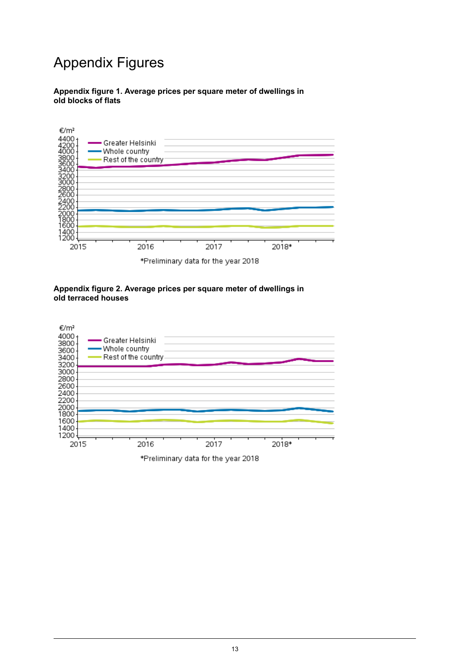## Appendix Figures

<span id="page-12-0"></span>**Appendix figure 1. Average prices per square meter of dwellings in old blocks of flats**



<span id="page-12-1"></span>**Appendix figure 2. Average prices per square meter of dwellings in old terraced houses**



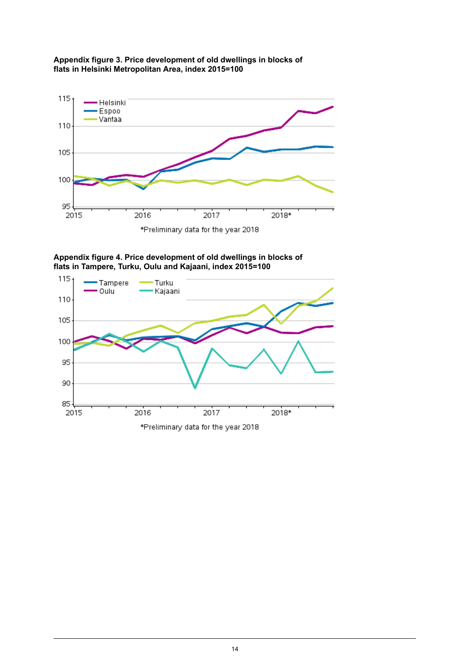<span id="page-13-0"></span>**Appendix figure 3. Price development of old dwellings in blocks of flats in Helsinki Metropolitan Area, index 2015=100**



<span id="page-13-1"></span>**Appendix figure 4. Price development of old dwellings in blocks of flats in Tampere, Turku, Oulu and Kajaani, index 2015=100**

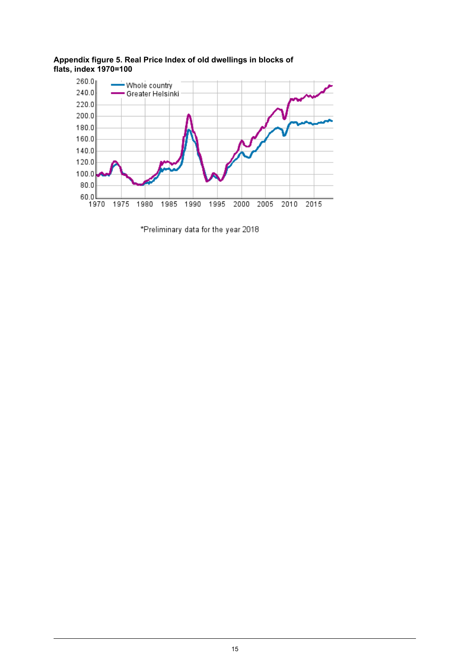

#### <span id="page-14-0"></span>**Appendix figure 5. Real Price Index of old dwellings in blocks of flats, index 1970=100**

\*Preliminary data for the year 2018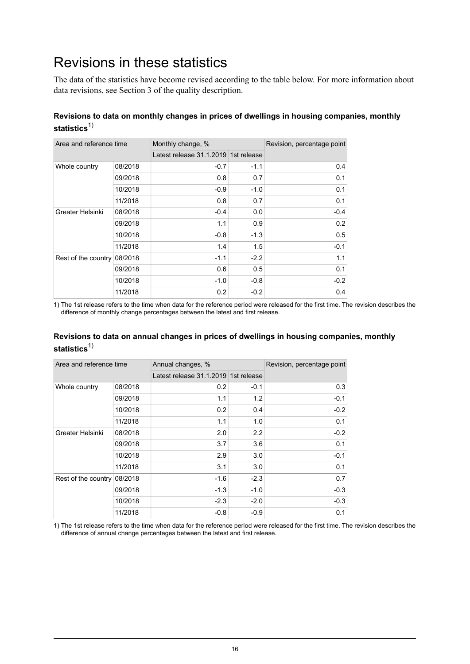## <span id="page-15-0"></span>Revisions in these statistics

The data of the statistics have become revised according to the table below. For more information about data revisions, see Section 3 of the quality description.

### **Revisions to data on monthly changes in prices of dwellings in housing companies, monthly** statistics<sup>1)</sup>

| Area and reference time |         | Monthly change, %                    | Revision, percentage point |        |
|-------------------------|---------|--------------------------------------|----------------------------|--------|
|                         |         | Latest release 31.1.2019 1st release |                            |        |
| Whole country           | 08/2018 | $-0.7$                               | $-1.1$                     | 0.4    |
|                         | 09/2018 | 0.8                                  | 0.7                        | 0.1    |
|                         | 10/2018 | $-0.9$                               | $-1.0$                     | 0.1    |
|                         | 11/2018 | 0.8                                  | 0.7                        | 0.1    |
| Greater Helsinki        | 08/2018 | $-0.4$                               | 0.0                        | $-0.4$ |
|                         | 09/2018 | 1.1                                  | 0.9                        | 0.2    |
|                         | 10/2018 | $-0.8$                               | $-1.3$                     | 0.5    |
|                         | 11/2018 | 1.4                                  | 1.5                        | $-0.1$ |
| Rest of the country     | 08/2018 | $-1.1$                               | $-2.2$                     | 1.1    |
|                         | 09/2018 | 0.6                                  | 0.5                        | 0.1    |
|                         | 10/2018 | $-1.0$                               | $-0.8$                     | $-0.2$ |
|                         | 11/2018 | 0.2                                  | $-0.2$                     | 0.4    |

1) The 1st release refers to the time when data for the reference period were released for the first time. The revision describes the difference of monthly change percentages between the latest and first release.

### **Revisions to data on annual changes in prices of dwellings in housing companies, monthly** statistics<sup>1)</sup>

| Area and reference time |         | Annual changes, %                    |        | Revision, percentage point |
|-------------------------|---------|--------------------------------------|--------|----------------------------|
|                         |         | Latest release 31.1.2019 1st release |        |                            |
| Whole country           | 08/2018 | 0.2                                  | $-0.1$ | 0.3                        |
|                         | 09/2018 | 1.1                                  | 1.2    | $-0.1$                     |
|                         | 10/2018 | 0.2                                  | 0.4    | $-0.2$                     |
|                         | 11/2018 | 1.1                                  | 1.0    | 0.1                        |
| Greater Helsinki        | 08/2018 | 2.0                                  | 2.2    | $-0.2$                     |
|                         | 09/2018 | 3.7                                  | 3.6    | 0.1                        |
|                         | 10/2018 | 2.9                                  | 3.0    | $-0.1$                     |
|                         | 11/2018 | 3.1                                  | 3.0    | 0.1                        |
| Rest of the country     | 08/2018 | $-1.6$                               | $-2.3$ | 0.7                        |
|                         | 09/2018 | $-1.3$                               | $-1.0$ | $-0.3$                     |
|                         | 10/2018 | $-2.3$                               | $-2.0$ | $-0.3$                     |
|                         | 11/2018 | $-0.8$                               | $-0.9$ | 0.1                        |

1) The 1st release refers to the time when data for the reference period were released for the first time. The revision describes the difference of annual change percentages between the latest and first release.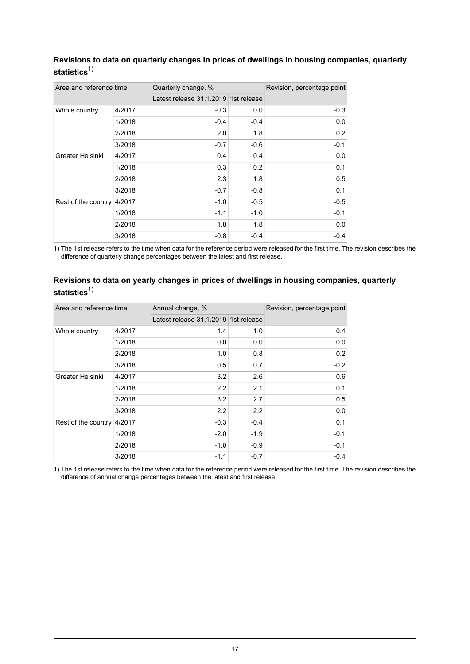| Area and reference time |        | Quarterly change, %                  |        | Revision, percentage point |
|-------------------------|--------|--------------------------------------|--------|----------------------------|
|                         |        | Latest release 31.1.2019 1st release |        |                            |
| Whole country           | 4/2017 | $-0.3$                               | 0.0    | $-0.3$                     |
|                         | 1/2018 | $-0.4$                               | $-0.4$ | 0.0                        |
|                         | 2/2018 | 2.0                                  | 1.8    | 0.2                        |
|                         | 3/2018 | $-0.7$                               | $-0.6$ | $-0.1$                     |
| Greater Helsinki        | 4/2017 | 0.4                                  | 0.4    | 0.0                        |
|                         | 1/2018 | 0.3                                  | 0.2    | 0.1                        |
|                         | 2/2018 | 2.3                                  | 1.8    | 0.5                        |
|                         | 3/2018 | $-0.7$                               | $-0.8$ | 0.1                        |
| Rest of the country     | 4/2017 | $-1.0$                               | $-0.5$ | $-0.5$                     |
|                         | 1/2018 | $-1.1$                               | $-1.0$ | $-0.1$                     |
|                         | 2/2018 | 1.8                                  | 1.8    | 0.0                        |
|                         | 3/2018 | $-0.8$                               | $-0.4$ | $-0.4$                     |

**Revisions to data on quarterly changes in prices of dwellings in housing companies, quarterly** statistics<sup>1)</sup>

1) The 1st release refers to the time when data for the reference period were released for the first time. The revision describes the difference of quarterly change percentages between the latest and first release.

| Area and reference time    |        | Annual change, %                     |        | Revision, percentage point |
|----------------------------|--------|--------------------------------------|--------|----------------------------|
|                            |        | Latest release 31.1.2019 1st release |        |                            |
| Whole country              | 4/2017 | 1.4                                  | 1.0    | 0.4                        |
|                            | 1/2018 | 0.0                                  | 0.0    | 0.0                        |
|                            | 2/2018 | 1.0                                  | 0.8    | 0.2                        |
|                            | 3/2018 | 0.5                                  | 0.7    | $-0.2$                     |
| Greater Helsinki           | 4/2017 | 3.2                                  | 2.6    | 0.6                        |
|                            | 1/2018 | 2.2                                  | 2.1    | 0.1                        |
|                            | 2/2018 | 3.2                                  | 2.7    | 0.5                        |
|                            | 3/2018 | 2.2                                  | 2.2    | 0.0                        |
| Rest of the country 4/2017 |        | $-0.3$                               | $-0.4$ | 0.1                        |
|                            | 1/2018 | $-2.0$                               | $-1.9$ | $-0.1$                     |
|                            | 2/2018 | $-1.0$                               | $-0.9$ | $-0.1$                     |
|                            | 3/2018 | $-1.1$                               | $-0.7$ | $-0.4$                     |

#### **Revisions to data on yearly changes in prices of dwellings in housing companies, quarterly** statistics<sup>1)</sup>

1) The 1st release refers to the time when data for the reference period were released for the first time. The revision describes the difference of annual change percentages between the latest and first release.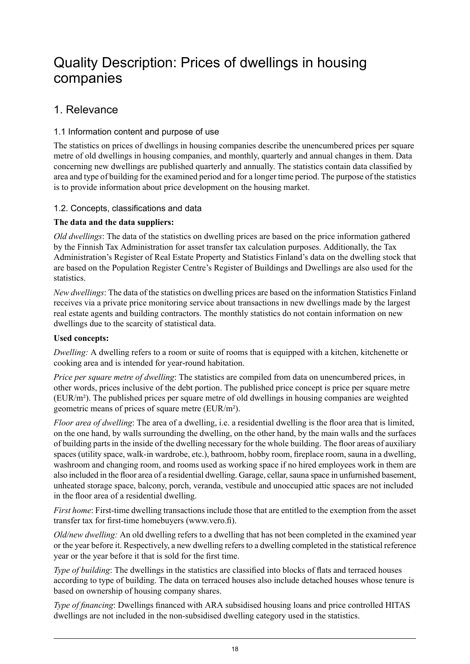## <span id="page-17-0"></span>Quality Description: Prices of dwellings in housing companies

## 1. Relevance

## 1.1 Information content and purpose of use

The statistics on prices of dwellings in housing companies describe the unencumbered prices per square metre of old dwellings in housing companies, and monthly, quarterly and annual changes in them. Data concerning new dwellings are published quarterly and annually. The statistics contain data classified by area and type of building for the examined period and for a longer time period. The purpose of the statistics is to provide information about price development on the housing market.

## 1.2. Concepts, classifications and data

## **The data and the data suppliers:**

*Old dwellings*: The data of the statistics on dwelling prices are based on the price information gathered by the Finnish Tax Administration for asset transfer tax calculation purposes. Additionally, the Tax Administration's Register of Real Estate Property and Statistics Finland's data on the dwelling stock that are based on the Population Register Centre's Register of Buildings and Dwellings are also used for the **statistics** 

*New dwellings*: The data of the statistics on dwelling prices are based on the information Statistics Finland receives via a private price monitoring service about transactions in new dwellings made by the largest real estate agents and building contractors. The monthly statistics do not contain information on new dwellings due to the scarcity of statistical data.

## **Used concepts:**

*Dwelling:* A dwelling refers to a room or suite of rooms that is equipped with a kitchen, kitchenette or cooking area and is intended for year-round habitation.

*Price per square metre of dwelling*: The statistics are compiled from data on unencumbered prices, in other words, prices inclusive of the debt portion. The published price concept is price per square metre (EUR/m²). The published prices per square metre of old dwellings in housing companies are weighted geometric means of prices of square metre (EUR/m²).

*Floor area of dwelling*: The area of a dwelling, i.e. a residential dwelling is the floor area that is limited, on the one hand, by walls surrounding the dwelling, on the other hand, by the main walls and the surfaces of building partsin the inside of the dwelling necessary for the whole building. The floor areas of auxiliary spaces (utility space, walk-in wardrobe, etc.), bathroom, hobby room, fireplace room, sauna in a dwelling, washroom and changing room, and rooms used as working space if no hired employees work in them are also included in the floor area of a residential dwelling. Garage, cellar, sauna space in unfurnished basement, unheated storage space, balcony, porch, veranda, vestibule and unoccupied attic spaces are not included in the floor area of a residential dwelling.

*First home*: First-time dwelling transactions include those that are entitled to the exemption from the asset transfer tax for first-time homebuyers (www.vero.fi).

*Old/new dwelling:* An old dwelling refers to a dwelling that has not been completed in the examined year or the year before it. Respectively, a new dwelling refers to a dwelling completed in the statistical reference year or the year before it that is sold for the first time.

*Type of building*: The dwellings in the statistics are classified into blocks of flats and terraced houses according to type of building. The data on terraced houses also include detached houses whose tenure is based on ownership of housing company shares.

*Type of financing*: Dwellings financed with ARA subsidised housing loans and price controlled HITAS dwellings are not included in the non-subsidised dwelling category used in the statistics.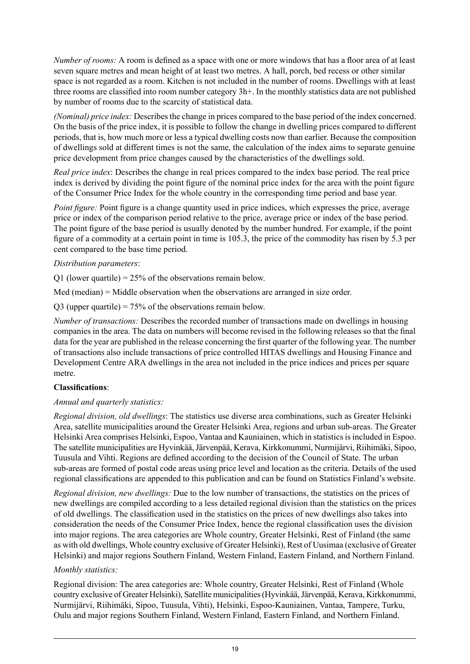*Number of rooms:* A room is defined as a space with one or more windows that has a floor area of at least seven square metres and mean height of at least two metres. A hall, porch, bed recess or other similar space is not regarded as a room. Kitchen is not included in the number of rooms. Dwellings with at least three rooms are classified into room number category 3h+. In the monthly statistics data are not published by number of rooms due to the scarcity of statistical data.

*(Nominal) price index:* Describes the change in prices compared to the base period of the index concerned. On the basis of the price index, it is possible to follow the change in dwelling prices compared to different periods, that is, how much more or less a typical dwelling costs now than earlier. Because the composition of dwellings sold at different times is not the same, the calculation of the index aims to separate genuine price development from price changes caused by the characteristics of the dwellings sold.

*Real price index*: Describes the change in real prices compared to the index base period. The real price index is derived by dividing the point figure of the nominal price index for the area with the point figure of the Consumer Price Index for the whole country in the corresponding time period and base year.

*Point figure:* Point figure is a change quantity used in price indices, which expresses the price, average price or index of the comparison period relative to the price, average price or index of the base period. The point figure of the base period is usually denoted by the number hundred. For example, if the point figure of a commodity at a certain point in time is 105.3, the price of the commodity has risen by 5.3 per cent compared to the base time period.

#### *Distribution parameters*:

Q1 (lower quartile) =  $25\%$  of the observations remain below.

Med (median)  $=$  Middle observation when the observations are arranged in size order.

Q3 (upper quartile) =  $75\%$  of the observations remain below.

*Number of transactions:* Describes the recorded number of transactions made on dwellings in housing companies in the area. The data on numbers will become revised in the following releases so that the final data for the year are published in the release concerning the first quarter of the following year. The number of transactions also include transactions of price controlled HITAS dwellings and Housing Finance and Development Centre ARA dwellings in the area not included in the price indices and prices per square metre.

#### **Classifications**:

#### *Annual and quarterly statistics:*

*Regional division, old dwellings*: The statistics use diverse area combinations, such as Greater Helsinki Area, satellite municipalities around the Greater Helsinki Area, regions and urban sub-areas. The Greater Helsinki Area comprises Helsinki, Espoo, Vantaa and Kauniainen, which in statistics is included in Espoo. The satellite municipalities are Hyvinkää, Järvenpää, Kerava, Kirkkonummi, Nurmijärvi, Riihimäki, Sipoo, Tuusula and Vihti. Regions are defined according to the decision of the Council of State. The urban sub-areas are formed of postal code areas using price level and location as the criteria. Details of the used regional classifications are appended to this publication and can be found on Statistics Finland's website.

*Regional division, new dwellings:* Due to the low number of transactions, the statistics on the prices of new dwellings are compiled according to a less detailed regional division than the statistics on the prices of old dwellings. The classification used in the statistics on the prices of new dwellings also takes into consideration the needs of the Consumer Price Index, hence the regional classification uses the division into major regions. The area categories are Whole country, Greater Helsinki, Rest of Finland (the same as with old dwellings, Whole country exclusive of Greater Helsinki), Rest of Uusimaa (exclusive of Greater Helsinki) and major regions Southern Finland, Western Finland, Eastern Finland, and Northern Finland.

### *Monthly statistics:*

Regional division: The area categories are: Whole country, Greater Helsinki, Rest of Finland (Whole country exclusive of Greater Helsinki), Satellite municipalities (Hyvinkää, Järvenpää, Kerava, Kirkkonummi, Nurmijärvi, Riihimäki, Sipoo, Tuusula, Vihti), Helsinki, Espoo-Kauniainen, Vantaa, Tampere, Turku, Oulu and major regions Southern Finland, Western Finland, Eastern Finland, and Northern Finland.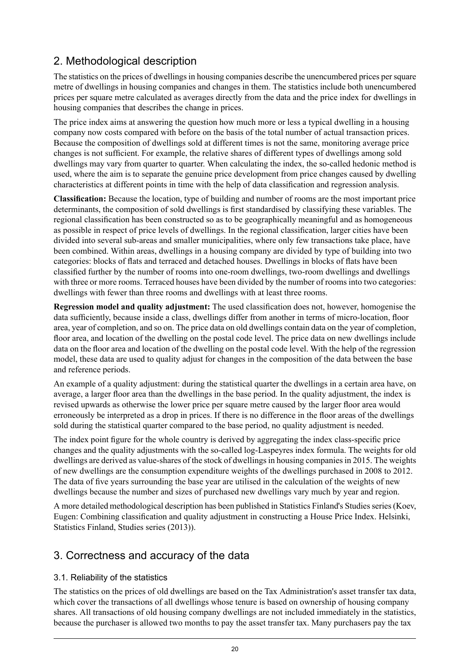## 2. Methodological description

The statistics on the prices of dwellings in housing companies describe the unencumbered prices per square metre of dwellings in housing companies and changes in them. The statistics include both unencumbered prices per square metre calculated as averages directly from the data and the price index for dwellings in housing companies that describes the change in prices.

The price index aims at answering the question how much more or less a typical dwelling in a housing company now costs compared with before on the basis of the total number of actual transaction prices. Because the composition of dwellings sold at different times is not the same, monitoring average price changes is not sufficient. For example, the relative shares of different types of dwellings among sold dwellings may vary from quarter to quarter. When calculating the index, the so-called hedonic method is used, where the aim is to separate the genuine price development from price changes caused by dwelling characteristics at different points in time with the help of data classification and regression analysis.

**Classification:** Because the location, type of building and number of rooms are the most important price determinants, the composition of sold dwellings is first standardised by classifying these variables. The regional classification has been constructed so as to be geographically meaningful and as homogeneous as possible in respect of price levels of dwellings. In the regional classification, larger cities have been divided into several sub-areas and smaller municipalities, where only few transactions take place, have been combined. Within areas, dwellings in a housing company are divided by type of building into two categories: blocks of flats and terraced and detached houses. Dwellings in blocks of flats have been classified further by the number of rooms into one-room dwellings, two-room dwellings and dwellings with three or more rooms. Terraced houses have been divided by the number of rooms into two categories: dwellings with fewer than three rooms and dwellings with at least three rooms.

**Regression model and quality adjustment:** The used classification does not, however, homogenise the data sufficiently, because inside a class, dwellings differ from another in terms of micro-location, floor area, year of completion, and so on. The price data on old dwellings contain data on the year of completion, floor area, and location of the dwelling on the postal code level. The price data on new dwellings include data on the floor area and location of the dwelling on the postal code level. With the help of the regression model, these data are used to quality adjust for changes in the composition of the data between the base and reference periods.

An example of a quality adjustment: during the statistical quarter the dwellings in a certain area have, on average, a larger floor area than the dwellings in the base period. In the quality adjustment, the index is revised upwards as otherwise the lower price per square metre caused by the larger floor area would erroneously be interpreted as a drop in prices. If there is no difference in the floor areas of the dwellings sold during the statistical quarter compared to the base period, no quality adjustment is needed.

The index point figure for the whole country is derived by aggregating the index class-specific price changes and the quality adjustments with the so-called log-Laspeyres index formula. The weights for old dwellings are derived as value-shares of the stock of dwellingsin housing companiesin 2015. The weights of new dwellings are the consumption expenditure weights of the dwellings purchased in 2008 to 2012. The data of five years surrounding the base year are utilised in the calculation of the weights of new dwellings because the number and sizes of purchased new dwellings vary much by year and region.

A more detailed methodological description has been published in Statistics Finland's Studies series (Koev, Eugen: Combining classification and quality adjustment in constructing a House Price Index. Helsinki, Statistics Finland, Studies series (2013)).

## 3. Correctness and accuracy of the data

## 3.1. Reliability of the statistics

The statistics on the prices of old dwellings are based on the Tax Administration's asset transfer tax data, which cover the transactions of all dwellings whose tenure is based on ownership of housing company shares. All transactions of old housing company dwellings are not included immediately in the statistics, because the purchaser is allowed two months to pay the asset transfer tax. Many purchasers pay the tax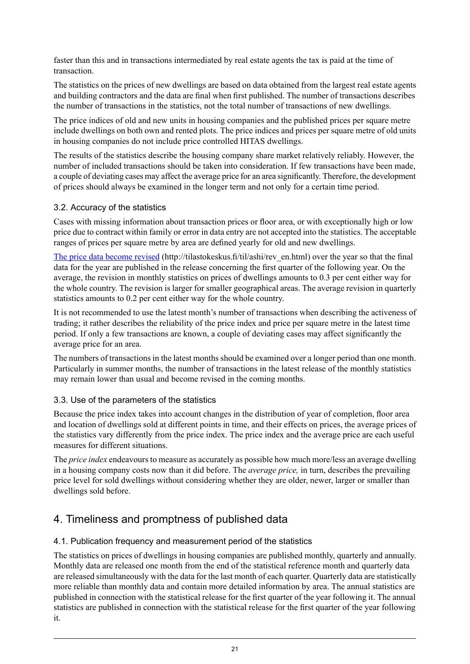faster than this and in transactions intermediated by real estate agents the tax is paid at the time of transaction.

The statistics on the prices of new dwellings are based on data obtained from the largest real estate agents and building contractors and the data are final when first published. The number of transactions describes the number of transactions in the statistics, not the total number of transactions of new dwellings.

The price indices of old and new units in housing companies and the published prices per square metre include dwellings on both own and rented plots. The price indices and prices per square metre of old units in housing companies do not include price controlled HITAS dwellings.

The results of the statistics describe the housing company share market relatively reliably. However, the number of included transactions should be taken into consideration. If few transactions have been made, a couple of deviating cases may affect the average price for an area significantly. Therefore, the development of prices should always be examined in the longer term and not only for a certain time period.

### 3.2. Accuracy of the statistics

Cases with missing information about transaction prices or floor area, or with exceptionally high or low price due to contract within family or error in data entry are not accepted into the statistics. The acceptable ranges of prices per square metre by area are defined yearly for old and new dwellings.

The price data [become](http://tilastokeskus.fi/til/ashi/rev_en.html) revised (http://tilastokeskus.fi/til/ashi/rev\_en.html) over the year so that the final data for the year are published in the release concerning the first quarter of the following year. On the average, the revision in monthly statistics on prices of dwellings amounts to 0.3 per cent either way for the whole country. The revision is larger for smaller geographical areas. The average revision in quarterly statistics amounts to 0.2 per cent either way for the whole country.

It is not recommended to use the latest month's number of transactions when describing the activeness of trading; it rather describes the reliability of the price index and price per square metre in the latest time period. If only a few transactions are known, a couple of deviating cases may affect significantly the average price for an area.

The numbers of transactions in the latest months should be examined over a longer period than one month. Particularly in summer months, the number of transactions in the latest release of the monthly statistics may remain lower than usual and become revised in the coming months.

### 3.3. Use of the parameters of the statistics

Because the price index takes into account changes in the distribution of year of completion, floor area and location of dwellings sold at different points in time, and their effects on prices, the average prices of the statistics vary differently from the price index. The price index and the average price are each useful measures for different situations.

The *price index* endeavours to measure as accurately as possible how much more/less an average dwelling in a housing company costs now than it did before. The *average price,* in turn, describes the prevailing price level for sold dwellings without considering whether they are older, newer, larger or smaller than dwellings sold before.

## 4. Timeliness and promptness of published data

### 4.1. Publication frequency and measurement period of the statistics

The statistics on prices of dwellings in housing companies are published monthly, quarterly and annually. Monthly data are released one month from the end of the statistical reference month and quarterly data are released simultaneously with the data for the last month of each quarter. Quarterly data are statistically more reliable than monthly data and contain more detailed information by area. The annual statistics are published in connection with the statistical release for the first quarter of the year following it. The annual statistics are published in connection with the statistical release for the first quarter of the year following it.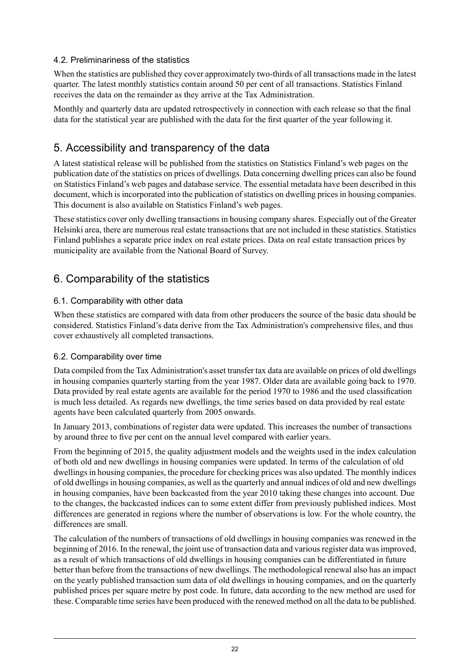## 4.2. Preliminariness of the statistics

When the statistics are published they cover approximately two-thirds of all transactions made in the latest quarter. The latest monthly statistics contain around 50 per cent of all transactions. Statistics Finland receives the data on the remainder as they arrive at the Tax Administration.

Monthly and quarterly data are updated retrospectively in connection with each release so that the final data for the statistical year are published with the data for the first quarter of the year following it.

## 5. Accessibility and transparency of the data

A latest statistical release will be published from the statistics on Statistics Finland's web pages on the publication date of the statistics on prices of dwellings. Data concerning dwelling prices can also be found on Statistics Finland's web pages and database service. The essential metadata have been described in this document, which is incorporated into the publication of statistics on dwelling prices in housing companies. This document is also available on Statistics Finland's web pages.

These statistics cover only dwelling transactions in housing company shares. Especially out of the Greater Helsinki area, there are numerous real estate transactions that are not included in these statistics. Statistics Finland publishes a separate price index on real estate prices. Data on real estate transaction prices by municipality are available from the National Board of Survey.

## 6. Comparability of the statistics

## 6.1. Comparability with other data

When these statistics are compared with data from other producers the source of the basic data should be considered. Statistics Finland's data derive from the Tax Administration's comprehensive files, and thus cover exhaustively all completed transactions.

### 6.2. Comparability over time

Data compiled from the Tax Administration's asset transfer tax data are available on prices of old dwellings in housing companies quarterly starting from the year 1987. Older data are available going back to 1970. Data provided by real estate agents are available for the period 1970 to 1986 and the used classification is much less detailed. As regards new dwellings, the time series based on data provided by real estate agents have been calculated quarterly from 2005 onwards.

In January 2013, combinations of register data were updated. This increases the number of transactions by around three to five per cent on the annual level compared with earlier years.

From the beginning of 2015, the quality adjustment models and the weights used in the index calculation of both old and new dwellings in housing companies were updated. In terms of the calculation of old dwellings in housing companies, the procedure for checking prices was also updated. The monthly indices of old dwellingsin housing companies, as well asthe quarterly and annual indices of old and new dwellings in housing companies, have been backcasted from the year 2010 taking these changes into account. Due to the changes, the backcasted indices can to some extent differ from previously published indices. Most differences are generated in regions where the number of observations is low. For the whole country, the differences are small.

The calculation of the numbers of transactions of old dwellings in housing companies was renewed in the beginning of 2016. In the renewal, the joint use of transaction data and various register data was improved, as a result of which transactions of old dwellings in housing companies can be differentiated in future better than before from the transactions of new dwellings. The methodological renewal also has an impact on the yearly published transaction sum data of old dwellings in housing companies, and on the quarterly published prices per square metre by post code. In future, data according to the new method are used for these. Comparable time series have been produced with the renewed method on all the data to be published.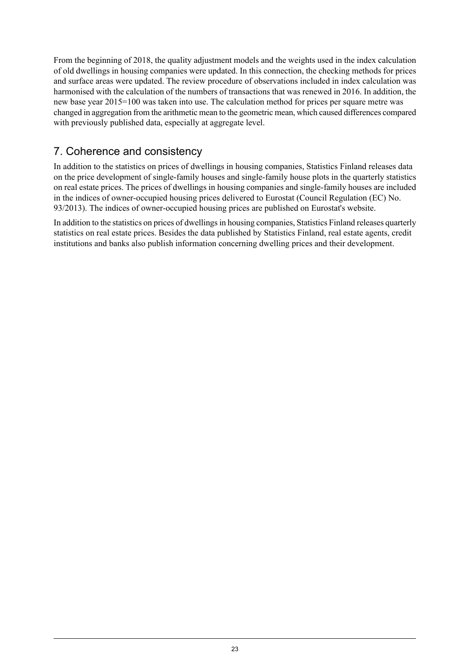From the beginning of 2018, the quality adjustment models and the weights used in the index calculation of old dwellings in housing companies were updated. In this connection, the checking methods for prices and surface areas were updated. The review procedure of observations included in index calculation was harmonised with the calculation of the numbers of transactions that was renewed in 2016. In addition, the new base year 2015=100 was taken into use. The calculation method for prices per square metre was changed in aggregation from the arithmetic mean to the geometric mean, which caused differences compared with previously published data, especially at aggregate level.

## 7. Coherence and consistency

In addition to the statistics on prices of dwellings in housing companies, Statistics Finland releases data on the price development of single-family houses and single-family house plots in the quarterly statistics on real estate prices. The prices of dwellings in housing companies and single-family houses are included in the indices of owner-occupied housing prices delivered to Eurostat (Council Regulation (EC) No. 93/2013). The indices of owner-occupied housing prices are published on Eurostat's website.

In addition to the statistics on prices of dwellingsin housing companies, Statistics Finland releases quarterly statistics on real estate prices. Besides the data published by Statistics Finland, real estate agents, credit institutions and banks also publish information concerning dwelling prices and their development.